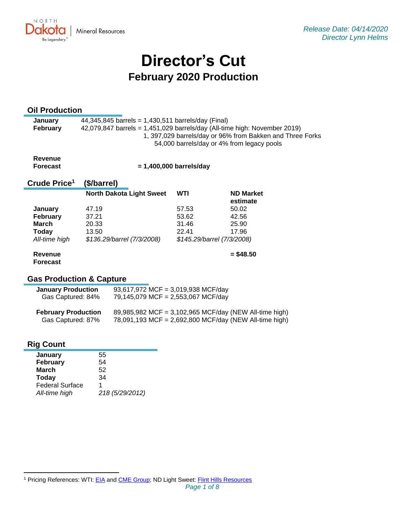

# **Director's Cut February 2020 Production**

## **Oil Production**

| <b>January</b>  | 44,345,845 barrels = 1,430,511 barrels/day (Final)                                                      |
|-----------------|---------------------------------------------------------------------------------------------------------|
| <b>February</b> | $42,079,847$ barrels = 1,451,029 barrels/day (All-time high: November 2019)                             |
|                 | 1, 397,029 barrels/day or 96% from Bakken and Three Forks<br>54,000 barrels/day or 4% from legacy pools |

**Revenue Forecast**

 **= 1,400,000 barrels/day**

#### **Crude Price 1 (\$/barrel)**

|                 | <b>North Dakota Light Sweet</b> | <b>WTI</b> | <b>ND Market</b><br>estimate |
|-----------------|---------------------------------|------------|------------------------------|
| January         | 47.19                           | 57.53      | 50.02                        |
| <b>February</b> | 37.21                           | 53.62      | 42.56                        |
| March           | 20.33                           | 31.46      | 25.90                        |
| Today           | 13.50                           | 22.41      | 17.96                        |
| All-time high   | \$136.29/barrel (7/3/2008)      |            | \$145.29/barrel (7/3/2008)   |
| Revenue         |                                 |            | $=$ \$48.50                  |

## **Forecast**

## **Gas Production & Capture**

| <b>January Production</b><br>Gas Captured: 84%  | 93,617,972 MCF = 3,019,938 MCF/day<br>79,145,079 MCF = 2,553,067 MCF/day                                         |  |
|-------------------------------------------------|------------------------------------------------------------------------------------------------------------------|--|
| <b>February Production</b><br>Gas Captured: 87% | 89,985,982 MCF = 3,102,965 MCF/day (NEW All-time high)<br>78,091,193 MCF = 2,692,800 MCF/day (NEW All-time high) |  |

## **Rig Count**

| ----                   |                 |
|------------------------|-----------------|
| January                | 55              |
| <b>February</b>        | 54              |
| March                  | 52              |
| Today                  | 34              |
| <b>Federal Surface</b> |                 |
| All-time high          | 218 (5/29/2012) |
|                        |                 |

<sup>&</sup>lt;sup>1</sup> Pricing References: WTI: [EIA](https://www.eia.gov/dnav/pet/hist/LeafHandler.ashx?n=PET&s=RCLC1&f=M) and [CME Group;](https://www.cmegroup.com/trading/energy/crude-oil/light-sweet-crude.html) ND Light Sweet: [Flint Hills Resources](https://www.fhr.com/products-services/fuels-and-aromatics)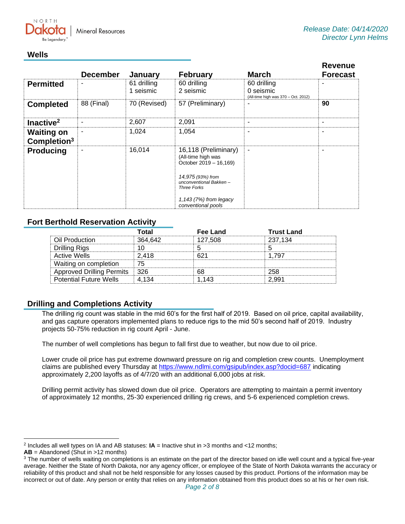

## **Wells**

|                                              | <b>December</b> | January                  | <b>February</b>                                                                                                                                                     | <b>March</b>                                                    | <b>Revenue</b><br><b>Forecast</b> |
|----------------------------------------------|-----------------|--------------------------|---------------------------------------------------------------------------------------------------------------------------------------------------------------------|-----------------------------------------------------------------|-----------------------------------|
| <b>Permitted</b>                             |                 | 61 drilling<br>1 seismic | 60 drilling<br>2 seismic                                                                                                                                            | 60 drilling<br>0 seismic<br>(All-time high was 370 - Oct. 2012) |                                   |
| <b>Completed</b>                             | 88 (Final)      | 70 (Revised)             | 57 (Preliminary)                                                                                                                                                    |                                                                 | 90                                |
| Inactive <sup>2</sup>                        | ۰               | 2,607                    | 2,091                                                                                                                                                               | ۰                                                               | ۰                                 |
| <b>Waiting on</b><br>Completion <sup>3</sup> |                 | 1,024                    | 1,054                                                                                                                                                               | ۰                                                               |                                   |
| <b>Producing</b>                             |                 | 16,014                   | 16,118 (Preliminary)<br>(All-time high was<br>October 2019 - 16,169)<br>14,975 (93%) from<br>unconventional Bakken-<br><b>Three Forks</b><br>1,143 (7%) from legacy | $\overline{a}$                                                  |                                   |
|                                              |                 |                          | conventional pools                                                                                                                                                  |                                                                 |                                   |

## **Fort Berthold Reservation Activity**

|                                 | Гоtal   | Fee Land | <b>Trust Land</b> |
|---------------------------------|---------|----------|-------------------|
| Oil Production                  | 364.642 | 127.508  | 237,134           |
| <b>Drilling Rigs</b>            |         |          |                   |
| <b>Active Wells</b>             | 2.418   |          | 1.797             |
| Waiting on completion           | 75      |          |                   |
| Approved Drilling Permits   326 |         | 68       | 258               |
| <b>Potential Future Wells</b>   | 4 134   | 1 143    | 2.991             |

## **Drilling and Completions Activity**

The drilling rig count was stable in the mid 60's for the first half of 2019. Based on oil price, capital availability, and gas capture operators implemented plans to reduce rigs to the mid 50's second half of 2019. Industry projects 50-75% reduction in rig count April - June.

The number of well completions has begun to fall first due to weather, but now due to oil price.

Lower crude oil price has put extreme downward pressure on rig and completion crew counts. Unemployment claims are published every Thursday at<https://www.ndlmi.com/gsipub/index.asp?docid=687> indicating approximately 2,200 layoffs as of 4/7/20 with an additional 6,000 jobs at risk.

Drilling permit activity has slowed down due oil price. Operators are attempting to maintain a permit inventory of approximately 12 months, 25-30 experienced drilling rig crews, and 5-6 experienced completion crews.

<sup>2</sup> Includes all well types on IA and AB statuses: **IA** = Inactive shut in >3 months and <12 months;

**AB** = Abandoned (Shut in >12 months)

<sup>&</sup>lt;sup>3</sup> The number of wells waiting on completions is an estimate on the part of the director based on idle well count and a typical five-year average. Neither the State of North Dakota, nor any agency officer, or employee of the State of North Dakota warrants the accuracy or reliability of this product and shall not be held responsible for any losses caused by this product. Portions of the information may be incorrect or out of date. Any person or entity that relies on any information obtained from this product does so at his or her own risk.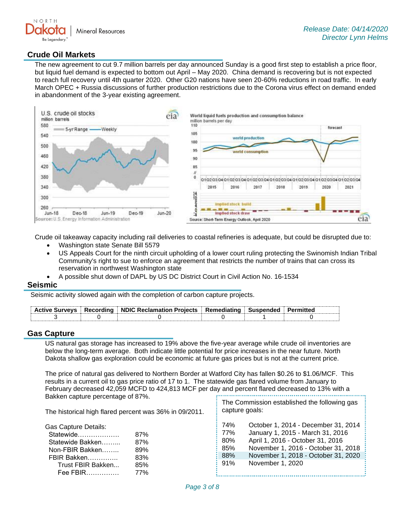

### **Crude Oil Markets**

The new agreement to cut 9.7 million barrels per day announced Sunday is a good first step to establish a price floor, but liquid fuel demand is expected to bottom out April – May 2020. China demand is recovering but is not expected to reach full recovery until 4th quarter 2020. Other G20 nations have seen 20-60% reductions in road traffic. In early March OPEC + Russia discussions of further production restrictions due to the Corona virus effect on demand ended in abandonment of the 3-year existing agreement.



Crude oil takeaway capacity including rail deliveries to coastal refineries is adequate, but could be disrupted due to:

- Washington state Senate Bill 5579
- US Appeals Court for the ninth circuit upholding of a lower court ruling protecting the Swinomish Indian Tribal Community's right to sue to enforce an agreement that restricts the number of trains that can cross its reservation in northwest Washington state
- A possible shut down of DAPL by US DC District Court in Civil Action No. 16-1534

#### **Seismic**

Seismic activity slowed again with the completion of carbon capture projects.

|  | Active Surveys   Recording   NDIC Reclamation Projects   Remediating   Suspended   Permitted |  |  |
|--|----------------------------------------------------------------------------------------------|--|--|
|  |                                                                                              |  |  |

#### **Gas Capture**

US natural gas storage has increased to 19% above the five-year average while crude oil inventories are below the long-term average. Both indicate little potential for price increases in the near future. North Dakota shallow gas exploration could be economic at future gas prices but is not at the current price.

The price of natural gas delivered to Northern Border at Watford City has fallen \$0.26 to \$1.06/MCF. This results in a current oil to gas price ratio of 17 to 1. The statewide gas flared volume from January to February decreased 42,059 MCFD to 424,813 MCF per day and percent flared decreased to 13% with a Bakken capture percentage of 87%.

The historical high flared percent was 36% in 09/2011.

Gas Capture Details:

| Statewide         | 87% |
|-------------------|-----|
| Statewide Bakken  | 87% |
| Non-FBIR Bakken   | 89% |
| FBIR Bakken       | 83% |
| Trust FBIR Bakken | 85% |
| Fee FBIR          | 77% |

| The Commission established the following gas |
|----------------------------------------------|
| capture goals:                               |

| 74% | October 1, 2014 - December 31, 2014 |
|-----|-------------------------------------|
| 77% | January 1, 2015 - March 31, 2016    |
| 80% | April 1, 2016 - October 31, 2016    |
| 85% | November 1, 2016 - October 31, 2018 |
| 88% | November 1, 2018 - October 31, 2020 |
| 91% | November 1, 2020                    |
|     |                                     |

j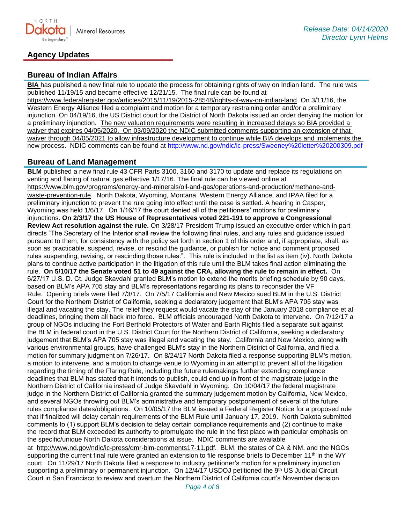

## **Agency Updates**

## **Bureau of Indian Affairs**

**BIA** has published a new final rule to update the process for obtaining rights of way on Indian land. The rule was published 11/19/15 and became effective 12/21/15. The final rule can be found at

[https://www.federalregister.gov/articles/2015/11/19/2015-28548/rights-of-way-on-indian-land.](https://www.federalregister.gov/articles/2015/11/19/2015-28548/rights-of-way-on-indian-land) On 3/11/16, the Western Energy Alliance filed a complaint and motion for a temporary restraining order and/or a preliminary injunction. On 04/19/16, the US District court for the District of North Dakota issued an order denying the motion for a preliminary injunction. The new valuation requirements were resulting in increased delays so BIA provided a waiver that expires 04/05/2020. On 03/09/2020 the NDIC submitted comments supporting an extension of that waiver through 04/05/2021 to allow infrastructure development to continue while BIA develops and implements the new process. NDIC comments can be found at<http://www.nd.gov/ndic/ic-press/Sweeney%20letter%20200309.pdf>

## **Bureau of Land Management**

**BLM** published a new final rule 43 CFR Parts 3100, 3160 and 3170 to update and replace its regulations on venting and flaring of natural gas effective 1/17/16. The final rule can be viewed online at [https://www.blm.gov/programs/energy-and-minerals/oil-and-gas/operations-and-production/methane-and](https://www.blm.gov/programs/energy-and-minerals/oil-and-gas/operations-and-production/methane-and-waste-prevention-rule)[waste-prevention-rule](https://www.blm.gov/programs/energy-and-minerals/oil-and-gas/operations-and-production/methane-and-waste-prevention-rule). North Dakota, Wyoming, Montana, Western Energy Alliance, and IPAA filed for a preliminary injunction to prevent the rule going into effect until the case is settled. A hearing in Casper, Wyoming was held 1/6/17. On 1/16/17 the court denied all of the petitioners' motions for preliminary injunctions. **On 2/3/17 the US House of Representatives voted 221-191 to approve a Congressional Review Act resolution against the rule.** On 3/28/17 President Trump issued an executive order which in part directs "The Secretary of the Interior shall review the following final rules, and any rules and guidance issued pursuant to them, for consistency with the policy set forth in section 1 of this order and, if appropriate, shall, as soon as practicable, suspend, revise, or rescind the guidance, or publish for notice and comment proposed rules suspending, revising, or rescinding those rules:". This rule is included in the list as item (iv). North Dakota plans to continue active participation in the litigation of this rule until the BLM takes final action eliminating the rule. **On 5/10/17 the Senate voted 51 to 49 against the CRA, allowing the rule to remain in effect.** On 6/27/17 U.S. D. Ct. Judge Skavdahl granted BLM's motion to extend the merits briefing schedule by 90 days, based on BLM's APA 705 stay and BLM's representations regarding its plans to reconsider the VF Rule. Opening briefs were filed 7/3/17. On 7/5/17 California and New Mexico sued BLM in the U.S. District Court for the Northern District of California, seeking a declaratory judgement that BLM's APA 705 stay was illegal and vacating the stay. The relief they request would vacate the stay of the January 2018 compliance et al deadlines, bringing them all back into force. BLM officials encouraged North Dakota to intervene. On 7/12/17 a group of NGOs including the Fort Berthold Protectors of Water and Earth Rights filed a separate suit against the BLM in federal court in the U.S. District Court for the Northern District of California, seeking a declaratory judgement that BLM's APA 705 stay was illegal and vacating the stay. California and New Mexico, along with various environmental groups, have challenged BLM's stay in the Northern District of California, and filed a motion for summary judgment on 7/26/17. On 8/24/17 North Dakota filed a response supporting BLM's motion, a motion to intervene, and a motion to change venue to Wyoming in an attempt to prevent all of the litigation regarding the timing of the Flaring Rule, including the future rulemakings further extending compliance deadlines that BLM has stated that it intends to publish, could end up in front of the magistrate judge in the Northern District of California instead of Judge Skavdahl in Wyoming. On 10/04/17 the federal magistrate judge in the Northern District of California granted the summary judgement motion by California, New Mexico, and several NGOs throwing out BLM's administrative and temporary postponement of several of the future rules compliance dates/obligations. On 10/05/17 the BLM issued a Federal Register Notice for a proposed rule that if finalized will delay certain requirements of the BLM Rule until January 17, 2019. North Dakota submitted comments to (1) support BLM's decision to delay certain compliance requirements and (2) continue to make the record that BLM exceeded its authority to promulgate the rule in the first place with particular emphasis on the specific/unique North Dakota considerations at issue. NDIC comments are available at [http://www.nd.gov/ndic/ic-press/dmr-blm-comments17-11.pdf.](http://www.nd.gov/ndic/ic-press/dmr-blm-comments17-11.pdf) BLM, the states of CA & NM, and the NGOs supporting the current final rule were granted an extension to file response briefs to December 11<sup>th</sup> in the WY

court. On 11/29/17 North Dakota filed a response to industry petitioner's motion for a preliminary injunction supporting a preliminary or permanent injunction. On 12/4/17 USDOJ petitioned the 9th US Judicial Circuit Court in San Francisco to review and overturn the Northern District of California court's November decision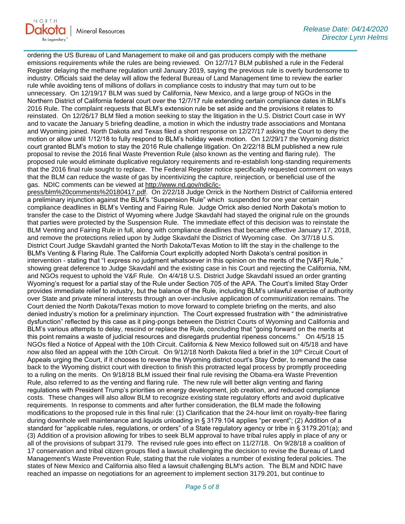

ordering the US Bureau of Land Management to make oil and gas producers comply with the methane emissions requirements while the rules are being reviewed. On 12/7/17 BLM published a rule in the Federal Register delaying the methane regulation until January 2019, saying the previous rule is overly burdensome to industry. Officials said the delay will allow the federal Bureau of Land Management time to review the earlier rule while avoiding tens of millions of dollars in compliance costs to industry that may turn out to be unnecessary. On 12/19/17 BLM was sued by California, New Mexico, and a large group of NGOs in the Northern District of California federal court over the 12/7/17 rule extending certain compliance dates in BLM's 2016 Rule. The complaint requests that BLM's extension rule be set aside and the provisions it relates to reinstated. On 12/26/17 BLM filed a motion seeking to stay the litigation in the U.S. District Court case in WY and to vacate the January 5 briefing deadline, a motion in which the industry trade associations and Montana and Wyoming joined. North Dakota and Texas filed a short response on 12/27/17 asking the Court to deny the motion or allow until 1/12/18 to fully respond to BLM's holiday week motion. On 12/29/17 the Wyoming district court granted BLM's motion to stay the 2016 Rule challenge litigation. On 2/22/18 BLM published a new rule proposal to revise the 2016 final Waste Prevention Rule (also known as the venting and flaring rule). The proposed rule would eliminate duplicative regulatory requirements and re-establish long-standing requirements that the 2016 final rule sought to replace. The Federal Register notice specifically requested comment on ways that the BLM can reduce the waste of gas by incentivizing the capture, reinjection, or beneficial use of the gas. NDIC comments can be viewed at [http://www.nd.gov/ndic/ic-](http://www.nd.gov/ndic/ic-press/blm%20comments%20180417.pdf)

[press/blm%20comments%20180417.pdf.](http://www.nd.gov/ndic/ic-press/blm%20comments%20180417.pdf) On 2/22/18 Judge Orrick in the Northern District of California entered a preliminary injunction against the BLM's "Suspension Rule" which suspended for one year certain compliance deadlines in BLM's Venting and Fairing Rule. Judge Orrick also denied North Dakota's motion to transfer the case to the District of Wyoming where Judge Skavdahl had stayed the original rule on the grounds that parties were protected by the Suspension Rule. The immediate effect of this decision was to reinstate the BLM Venting and Fairing Rule in full, along with compliance deadlines that became effective January 17, 2018, and remove the protections relied upon by Judge Skavdahl the District of Wyoming case. On 3/7/18 U.S. District Court Judge Skavdahl granted the North Dakota/Texas Motion to lift the stay in the challenge to the BLM's Venting & Flaring Rule. The California Court explicitly adopted North Dakota's central position in intervention - stating that "I express no judgment whatsoever in this opinion on the merits of the [V&F] Rule," showing great deference to Judge Skavdahl and the existing case in his Court and rejecting the California, NM, and NGOs request to uphold the V&F Rule. On 4/4/18 U.S. District Judge Skavdahl issued an order granting Wyoming's request for a partial stay of the Rule under Section 705 of the APA. The Court's limited Stay Order provides immediate relief to industry, but the balance of the Rule, including BLM's unlawful exercise of authority over State and private mineral interests through an over-inclusive application of communitization remains. The Court denied the North Dakota/Texas motion to move forward to complete briefing on the merits, and also denied industry's motion for a preliminary injunction. The Court expressed frustration with " the administrative dysfunction" reflected by this case as it ping-pongs between the District Courts of Wyoming and California and BLM's various attempts to delay, rescind or replace the Rule, concluding that "going forward on the merits at this point remains a waste of judicial resources and disregards prudential ripeness concerns." On 4/5/18 15 NGOs filed a Notice of Appeal with the 10th Circuit. California & New Mexico followed suit on 4/5/18 and have now also filed an appeal with the 10th Circuit. On 9/12/18 North Dakota filed a brief in the 10<sup>th</sup> Circuit Court of Appeals urging the Court, if it chooses to reverse the Wyoming district court's Stay Order, to remand the case back to the Wyoming district court with direction to finish this protracted legal process by promptly proceeding to a ruling on the merits. On 9/18/18 BLM issued their final rule revising the Obama-era Waste Prevention Rule, also referred to as the venting and flaring rule. The new rule will better align venting and flaring regulations with President Trump's priorities on energy development, job creation, and reduced compliance costs. These changes will also allow BLM to recognize existing state regulatory efforts and avoid duplicative requirements. In response to comments and after further consideration, the BLM made the following modifications to the proposed rule in this final rule: (1) Clarification that the 24-hour limit on royalty-free flaring during downhole well maintenance and liquids unloading in § 3179.104 applies "per event"; (2) Addition of a standard for "applicable rules, regulations, or orders" of a State regulatory agency or tribe in § 3179.201(a); and (3) Addition of a provision allowing for tribes to seek BLM approval to have tribal rules apply in place of any or all of the provisions of subpart 3179. The revised rule goes into effect on 11/27/18. On 9/28/18 a coalition of 17 conservation and tribal citizen groups filed a lawsuit challenging the decision to revise the Bureau of Land Management's Waste Prevention Rule, stating that the rule violates a number of existing federal policies. The states of New Mexico and California also filed a lawsuit challenging BLM's action. The BLM and NDIC have reached an impasse on negotiations for an agreement to implement section 3179.201, but continue to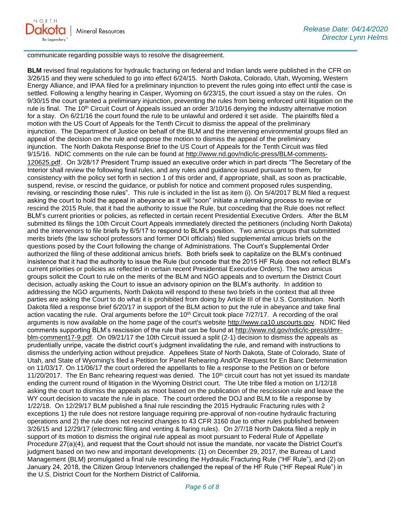communicate regarding possible ways to resolve the disagreement.

**BLM** revised final regulations for hydraulic fracturing on federal and Indian lands were published in the CFR on 3/26/15 and they were scheduled to go into effect 6/24/15. North Dakota, Colorado, Utah, Wyoming, Western Energy Alliance, and IPAA filed for a preliminary injunction to prevent the rules going into effect until the case is settled. Following a lengthy hearing in Casper, Wyoming on 6/23/15, the court issued a stay on the rules. On 9/30/15 the court granted a preliminary injunction, preventing the rules from being enforced until litigation on the rule is final. The 10<sup>th</sup> Circuit Court of Appeals issued an order 3/10/16 denying the industry alternative motion for a stay. On 6/21/16 the court found the rule to be unlawful and ordered it set aside. The plaintiffs filed a motion with the US Court of Appeals for the Tenth Circuit to dismiss the appeal of the preliminary injunction. The Department of Justice on behalf of the BLM and the intervening environmental groups filed an appeal of the decision on the rule and oppose the motion to dismiss the appeal of the preliminary injunction. The North Dakota Response Brief to the US Court of Appeals for the Tenth Circuit was filed 9/15/16. NDIC comments on the rule can be found at [http://www.nd.gov/ndic/ic-press/BLM-comments-](http://www.nd.gov/ndic/ic-press/BLM-comments-120625.pdf)[120625.pdf](http://www.nd.gov/ndic/ic-press/BLM-comments-120625.pdf). On 3/28/17 President Trump issued an executive order which in part directs "The Secretary of the Interior shall review the following final rules, and any rules and guidance issued pursuant to them, for consistency with the policy set forth in section 1 of this order and, if appropriate, shall, as soon as practicable, suspend, revise, or rescind the guidance, or publish for notice and comment proposed rules suspending, revising, or rescinding those rules". This rule is included in the list as item (i). On 5/4/2017 BLM filed a request asking the court to hold the appeal in abeyance as it will "soon" initiate a rulemaking process to revise or rescind the 2015 Rule, that it had the authority to issue the Rule, but conceding that the Rule does not reflect BLM's current priorities or policies, as reflected in certain recent Presidential Executive Orders. After the BLM submitted its filings the 10th Circuit Court Appeals immediately directed the petitioners (including North Dakota) and the intervenors to file briefs by 6/5/17 to respond to BLM's position. Two amicus groups that submitted merits briefs (the law school professors and former DOI officials) filed supplemental amicus briefs on the questions posed by the Court following the change of Administrations. The Court's Supplemental Order authorized the filing of these additional amicus briefs. Both briefs seek to capitalize on the BLM's continued insistence that it had the authority to issue the Rule (but concede that the 2015 HF Rule does not reflect BLM's current priorities or policies as reflected in certain recent Presidential Executive Orders). The two amicus groups solicit the Court to rule on the merits of the BLM and NGO appeals and to overturn the District Court decision, actually asking the Court to issue an advisory opinion on the BLM's authority. In addition to addressing the NGO arguments, North Dakota will respond to these two briefs in the context that all three parties are asking the Court to do what it is prohibited from doing by Article III of the U.S. Constitution. North Dakota filed a response brief 6/20/17 in support of the BLM action to put the rule in abeyance and take final action vacating the rule. Oral arguments before the 10<sup>th</sup> Circuit took place 7/27/17. A recording of the oral arguments is now available on the home page of the court's website [http://www.ca10.uscourts.gov.](https://urldefense.proofpoint.com/v2/url?u=http-3A__www.ca10.uscourts.gov&d=DwMGaQ&c=2s2mvbfY0UoSKkl6_Ol9wg&r=-wqsZnBxny594KY8HeElow&m=Ul_VtJUX6iW5pvHjCcBxUWtskC0F4Dhry3sPtcEHvCw&s=laRHiLDv5w8otcQWQjpn82WMieoB2AZ-Q4M1LFQPL5s&e=) NDIC filed comments supporting BLM's rescission of the rule that can be found at [http://www.nd.gov/ndic/ic-press/dmr](http://www.nd.gov/ndic/ic-press/dmr-blm-comment17-9.pdf)[blm-comment17-9.pdf.](http://www.nd.gov/ndic/ic-press/dmr-blm-comment17-9.pdf) On 09/21/17 the 10th Circuit issued a split (2-1) decision to dismiss the appeals as prudentially unripe, vacate the district court's judgment invalidating the rule, and remand with instructions to dismiss the underlying action without prejudice. Appellees State of North Dakota, State of Colorado, State of Utah, and State of Wyoming's filed a Petition for Panel Rehearing And/Or Request for En Banc Determination on 11/03/17. On 11/06/17 the court ordered the appellants to file a response to the Petition on or before 11/20/2017. The En Banc rehearing request was denied. The  $10<sup>th</sup>$  circuit court has not yet issued its mandate ending the current round of litigation in the Wyoming District court. The Ute tribe filed a motion on 1/12/18 asking the court to dismiss the appeals as moot based on the publication of the rescission rule and leave the WY court decision to vacate the rule in place. The court ordered the DOJ and BLM to file a response by 1/22/18. On 12/29/17 BLM published a final rule rescinding the 2015 Hydraulic Fracturing rules with 2 exceptions 1) the rule does not restore language requiring pre-approval of non-routine hydraulic fracturing operations and 2) the rule does not rescind changes to 43 CFR 3160 due to other rules published between 3/26/15 and 12/29/17 (electronic filing and venting & flaring rules). On 2/7/18 North Dakota filed a reply in support of its motion to dismiss the original rule appeal as moot pursuant to Federal Rule of Appellate Procedure 27(a)(4), and request that the Court should not issue the mandate, nor vacate the District Court's judgment based on two new and important developments: (1) on December 29, 2017, the Bureau of Land Management (BLM) promulgated a final rule rescinding the Hydraulic Fracturing Rule ("HF Rule"), and (2) on January 24, 2018, the Citizen Group Intervenors challenged the repeal of the HF Rule ("HF Repeal Rule") in the U.S. District Court for the Northern District of California.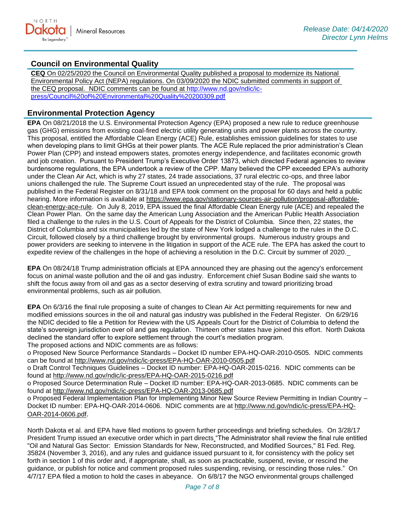## **Council on Environmental Quality**

**CEQ** On 02/25/2020 the Council on Environmental Quality published a proposal to modernize its National Environmental Policy Act (NEPA) regulations. On 03/09/2020 the NDIC submitted comments in support of the CEQ proposal. NDIC comments can be found at [http://www.nd.gov/ndic/ic](http://www.nd.gov/ndic/ic-press/Council%20of%20Environmental%20Quality%20200309.pdf)[press/Council%20of%20Environmental%20Quality%20200309.pdf](http://www.nd.gov/ndic/ic-press/Council%20of%20Environmental%20Quality%20200309.pdf)

## **Environmental Protection Agency**

**EPA** On 08/21/2018 the U.S. Environmental Protection Agency (EPA) proposed a new rule to reduce greenhouse gas (GHG) emissions from existing coal-fired electric utility generating units and power plants across the country. This proposal, entitled the Affordable Clean Energy (ACE) Rule, establishes emission guidelines for states to use when developing plans to limit GHGs at their power plants. The ACE Rule replaced the prior administration's Clean Power Plan (CPP) and instead empowers states, promotes energy independence, and facilitates economic growth and job creation. Pursuant to President Trump's Executive Order 13873, which directed Federal agencies to review burdensome regulations, the EPA undertook a review of the CPP. Many believed the CPP exceeded EPA's authority under the Clean Air Act, which is why 27 states, 24 trade associations, 37 rural electric co-ops, and three labor unions challenged the rule. The Supreme Court issued an unprecedented stay of the rule. The proposal was published in the Federal Register on 8/31/18 and EPA took comment on the proposal for 60 days and held a public hearing. More information is available at [https://www.epa.gov/stationary-sources-air-pollution/proposal-affordable](https://www.epa.gov/stationary-sources-air-pollution/proposal-affordable-clean-energy-ace-rule)[clean-energy-ace-rule.](https://www.epa.gov/stationary-sources-air-pollution/proposal-affordable-clean-energy-ace-rule) On July 8, 2019, EPA issued the final Affordable Clean Energy rule (ACE) and repealed the Clean Power Plan. On the same day the American Lung Association and the American Public Health Association filed a challenge to the rules in the U.S. Court of Appeals for the District of Columbia. Since then, 22 states, the District of Columbia and six municipalities led by the state of New York lodged a challenge to the rules in the D.C. Circuit, followed closely by a third challenge brought by environmental groups. Numerous industry groups and power providers are seeking to intervene in the litigation in support of the ACE rule. The EPA has asked the court to expedite review of the challenges in the hope of achieving a resolution in the D.C. Circuit by summer of 2020.

**EPA** On 08/24/18 Trump administration officials at EPA announced they are phasing out the agency's enforcement focus on animal waste pollution and the oil and gas industry. Enforcement chief Susan Bodine said she wants to shift the focus away from oil and gas as a sector deserving of extra scrutiny and toward prioritizing broad environmental problems, such as air pollution.

**EPA** On 6/3/16 the final rule proposing a suite of changes to Clean Air Act permitting requirements for new and modified emissions sources in the oil and natural gas industry was published in the Federal Register. On 6/29/16 the NDIC decided to file a Petition for Review with the US Appeals Court for the District of Columbia to defend the state's sovereign jurisdiction over oil and gas regulation. Thirteen other states have joined this effort. North Dakota declined the standard offer to explore settlement through the court's mediation program. The proposed actions and NDIC comments are as follows:

o Proposed New Source Performance Standards – Docket ID number EPA-HQ-OAR-2010-0505. NDIC comments can be found at<http://www.nd.gov/ndic/ic-press/EPA-HQ-OAR-2010-0505.pdf>

o Draft Control Techniques Guidelines – Docket ID number: EPA-HQ-OAR-2015-0216. NDIC comments can be found at<http://www.nd.gov/ndic/ic-press/EPA-HQ-OAR-2015-0216.pdf>

o Proposed Source Determination Rule – Docket ID number: EPA-HQ-OAR-2013-0685. NDIC comments can be found at<http://www.nd.gov/ndic/ic-press/EPA-HQ-OAR-2013-0685.pdf>

o Proposed Federal Implementation Plan for Implementing Minor New Source Review Permitting in Indian Country – Docket ID number: EPA-HQ-OAR-2014-0606. NDIC comments are at [http://www.nd.gov/ndic/ic-press/EPA-HQ-](http://www.nd.gov/ndic/ic-press/EPA-HQ-OAR-2014-0606.pdf)[OAR-2014-0606.pdf](http://www.nd.gov/ndic/ic-press/EPA-HQ-OAR-2014-0606.pdf).

North Dakota et al. and EPA have filed motions to govern further proceedings and briefing schedules. On 3/28/17 President Trump issued an executive order which in part directs "The Administrator shall review the final rule entitled "Oil and Natural Gas Sector: Emission Standards for New, Reconstructed, and Modified Sources," 81 Fed. Reg. 35824 (November 3, 2016), and any rules and guidance issued pursuant to it, for consistency with the policy set forth in section 1 of this order and, if appropriate, shall, as soon as practicable, suspend, revise, or rescind the guidance, or publish for notice and comment proposed rules suspending, revising, or rescinding those rules." On 4/7/17 EPA filed a motion to hold the cases in abeyance. On 6/8/17 the NGO environmental groups challenged